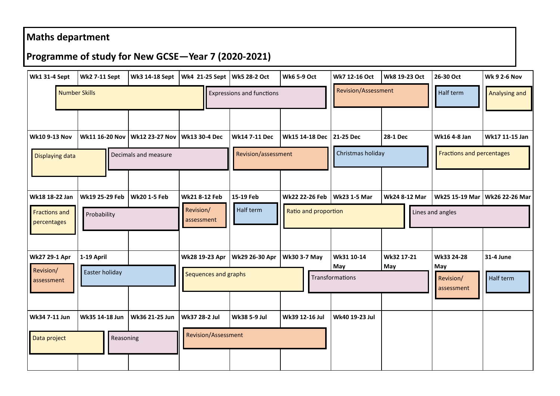## **Maths department**

## **Programme of study for New GCSE—Year 7 (2020-2021)**

| <b>Wk1 31-4 Sept</b>                | <b>Wk2 7-11 Sept</b>  | Wk3 14-18 Sept        | Wk4 21-25 Sept   Wk5 28-2 Oct                                |                                  | <b>Wk6 5-9 Oct</b>  | Wk7 12-16 Oct       | Wk8 19-23 Oct        | 26-30 Oct                        | <b>Wk 9 2-6 Nov</b>             |
|-------------------------------------|-----------------------|-----------------------|--------------------------------------------------------------|----------------------------------|---------------------|---------------------|----------------------|----------------------------------|---------------------------------|
| <b>Number Skills</b>                |                       |                       |                                                              | <b>Expressions and functions</b> |                     | Revision/Assessment |                      | Half term                        | <b>Analysing and</b>            |
|                                     |                       |                       |                                                              |                                  |                     |                     |                      |                                  |                                 |
| <b>Wk10 9-13 Nov</b>                | <b>Wk11 16-20 Nov</b> | <b>Wk12 23-27 Nov</b> | Wk13 30-4 Dec                                                | <b>Wk14 7-11 Dec</b>             | Wk15 14-18 Dec      | 21-25 Dec           | 28-1 Dec             | Wk16 4-8 Jan                     | Wk17 11-15 Jan                  |
| Displaying data                     |                       | Decimals and measure  |                                                              | Revision/assessment              |                     | Christmas holiday   |                      | <b>Fractions and percentages</b> |                                 |
|                                     |                       |                       |                                                              |                                  |                     |                     |                      |                                  |                                 |
| Wk18 18-22 Jan                      | Wk19 25-29 Feb        | <b>Wk20 1-5 Feb</b>   | <b>Wk21 8-12 Feb</b>                                         | 15-19 Feb                        | Wk22 22-26 Feb      | <b>Wk23 1-5 Mar</b> | <b>Wk24 8-12 Mar</b> |                                  | Wk25 15-19 Mar   Wk26 22-26 Mar |
| <b>Fractions and</b><br>percentages | Probability           |                       | Half term<br>Revision/<br>Ratio and proportion<br>assessment |                                  |                     |                     |                      | Lines and angles                 |                                 |
|                                     |                       |                       |                                                              |                                  |                     |                     |                      |                                  |                                 |
| <b>Wk27 29-1 Apr</b>                | 1-19 April            |                       | Wk28 19-23 Apr                                               | Wk29 26-30 Apr                   | <b>Wk30 3-7 May</b> | Wk31 10-14<br>May   | Wk32 17-21<br>May    | Wk33 24-28<br>May                | 31-4 June                       |
| Revision/<br>assessment             | Easter holiday        |                       | Sequences and graphs                                         |                                  |                     | Transformations     |                      | Revision/<br>assessment          | Half term                       |
|                                     |                       |                       |                                                              |                                  |                     |                     |                      |                                  |                                 |
| Wk34 7-11 Jun                       | Wk35 14-18 Jun        | Wk36 21-25 Jun        | Wk37 28-2 Jul                                                | Wk38 5-9 Jul                     | Wk39 12-16 Jul      | Wk40 19-23 Jul      |                      |                                  |                                 |
| Data project                        | Reasoning             |                       | Revision/Assessment                                          |                                  |                     |                     |                      |                                  |                                 |
|                                     |                       |                       |                                                              |                                  |                     |                     |                      |                                  |                                 |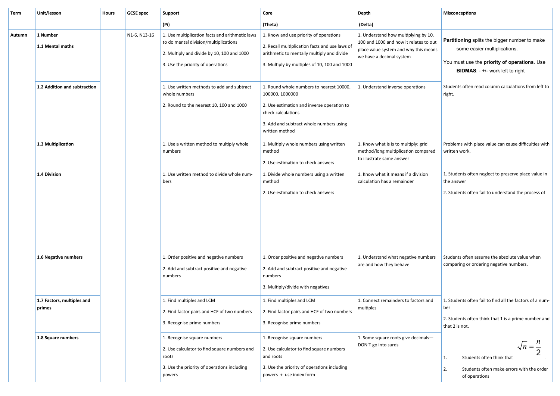| (Pi)<br>(Delta)<br>(Theta)<br>1. Use multiplication facts and arithmetic laws<br>1. Know and use priority of operations<br>1. Understand how multiplying by 10,<br>1 Number<br>N1-6, N13-16<br>Autumn<br>Partitioning splits the bigger number to make<br>to do mental division/multiplications<br>100 and 1000 and how it relates to out<br>2. Recall multiplication facts and use laws of<br>1.1 Mental maths<br>some easier multiplications.<br>place value system and why this means<br>2. Multiply and divide by 10, 100 and 1000<br>arithmetic to mentally multiply and divide<br>we have a decimal system<br>You must use the priority of operations. Use<br>3. Use the priority of operations<br>3. Multiply by multiples of 10, 100 and 1000<br>BIDMAS: - +/- work left to right<br>1.2 Addition and subtraction<br>1. Use written methods to add and subtract<br>1. Round whole numbers to nearest 10000,<br>1. Understand inverse operations<br>Students often read column calculations from left to<br>whole numbers<br>100000, 1000000<br>right.<br>2. Round to the nearest 10, 100 and 1000<br>2. Use estimation and inverse operation to<br>check calculations<br>3. Add and subtract whole numbers using<br>written method<br>1.3 Multiplication<br>1. Use a written method to multiply whole<br>1. Multiply whole numbers using written<br>1. Know what is is to multiply; grid<br>Problems with place value can cause difficulties with<br>method/long multiplication compared<br>method<br>written work.<br>numbers<br>to illustrate same answer<br>2. Use estimation to check answers<br>1.4 Division<br>1. Use written method to divide whole num-<br>1. Know what it means if a division<br>1. Students often neglect to preserve place value in<br>1. Divide whole numbers using a written<br>calculation has a remainder<br>bers<br>method<br>the answer<br>2. Students often fail to understand the process of<br>2. Use estimation to check answers<br>Students often assume the absolute value when<br>1. Understand what negative numbers<br>1.6 Negative numbers<br>1. Order positive and negative numbers<br>1. Order positive and negative numbers<br>are and how they behave<br>comparing or ordering negative numbers.<br>2. Add and subtract positive and negative<br>2. Add and subtract positive and negative<br>numbers<br>numbers<br>3. Multiply/divide with negatives<br>1. Find multiples and LCM<br>1. Connect remainders to factors and<br>1. Students often fail to find all the factors of a num-<br>1.7 Factors, multiples and<br>1. Find multiples and LCM<br>primes<br>multiples<br>ber<br>2. Find factor pairs and HCF of two numbers<br>2. Find factor pairs and HCF of two numbers<br>2. Students often think that 1 is a prime number and<br>3. Recognise prime numbers<br>3. Recognise prime numbers<br>that 2 is not.<br>1.8 Square numbers<br>1. Some square roots give decimals-<br>1. Recognise square numbers<br>1. Recognise square numbers<br>$\sqrt{n} = \frac{n}{2}$<br>DON'T go into surds<br>2. Use calculator to find square numbers and<br>2. Use calculator to find square numbers<br>2<br>and roots<br>roots<br>Students often think that<br>1.<br>3. Use the priority of operations including<br>3. Use the priority of operations including<br>2.<br>Students often make errors with the order<br>powers + use index form<br>powers<br>of operations | Term | Unit/lesson | <b>Hours</b> | <b>GCSE</b> spec | Support | Core | Depth | <b>Misconceptions</b> |
|---------------------------------------------------------------------------------------------------------------------------------------------------------------------------------------------------------------------------------------------------------------------------------------------------------------------------------------------------------------------------------------------------------------------------------------------------------------------------------------------------------------------------------------------------------------------------------------------------------------------------------------------------------------------------------------------------------------------------------------------------------------------------------------------------------------------------------------------------------------------------------------------------------------------------------------------------------------------------------------------------------------------------------------------------------------------------------------------------------------------------------------------------------------------------------------------------------------------------------------------------------------------------------------------------------------------------------------------------------------------------------------------------------------------------------------------------------------------------------------------------------------------------------------------------------------------------------------------------------------------------------------------------------------------------------------------------------------------------------------------------------------------------------------------------------------------------------------------------------------------------------------------------------------------------------------------------------------------------------------------------------------------------------------------------------------------------------------------------------------------------------------------------------------------------------------------------------------------------------------------------------------------------------------------------------------------------------------------------------------------------------------------------------------------------------------------------------------------------------------------------------------------------------------------------------------------------------------------------------------------------------------------------------------------------------------------------------------------------------------------------------------------------------------------------------------------------------------------------------------------------------------------------------------------------------------------------------------------------------------------------------------------------------------------------------------------------------------------------------------------------------------------------------------------------------------------------------------------------------------------------------------------------------------------------------------------------------------------------------------------------------------------------------------------------|------|-------------|--------------|------------------|---------|------|-------|-----------------------|
|                                                                                                                                                                                                                                                                                                                                                                                                                                                                                                                                                                                                                                                                                                                                                                                                                                                                                                                                                                                                                                                                                                                                                                                                                                                                                                                                                                                                                                                                                                                                                                                                                                                                                                                                                                                                                                                                                                                                                                                                                                                                                                                                                                                                                                                                                                                                                                                                                                                                                                                                                                                                                                                                                                                                                                                                                                                                                                                                                                                                                                                                                                                                                                                                                                                                                                                                                                                                                           |      |             |              |                  |         |      |       |                       |
|                                                                                                                                                                                                                                                                                                                                                                                                                                                                                                                                                                                                                                                                                                                                                                                                                                                                                                                                                                                                                                                                                                                                                                                                                                                                                                                                                                                                                                                                                                                                                                                                                                                                                                                                                                                                                                                                                                                                                                                                                                                                                                                                                                                                                                                                                                                                                                                                                                                                                                                                                                                                                                                                                                                                                                                                                                                                                                                                                                                                                                                                                                                                                                                                                                                                                                                                                                                                                           |      |             |              |                  |         |      |       |                       |
|                                                                                                                                                                                                                                                                                                                                                                                                                                                                                                                                                                                                                                                                                                                                                                                                                                                                                                                                                                                                                                                                                                                                                                                                                                                                                                                                                                                                                                                                                                                                                                                                                                                                                                                                                                                                                                                                                                                                                                                                                                                                                                                                                                                                                                                                                                                                                                                                                                                                                                                                                                                                                                                                                                                                                                                                                                                                                                                                                                                                                                                                                                                                                                                                                                                                                                                                                                                                                           |      |             |              |                  |         |      |       |                       |
|                                                                                                                                                                                                                                                                                                                                                                                                                                                                                                                                                                                                                                                                                                                                                                                                                                                                                                                                                                                                                                                                                                                                                                                                                                                                                                                                                                                                                                                                                                                                                                                                                                                                                                                                                                                                                                                                                                                                                                                                                                                                                                                                                                                                                                                                                                                                                                                                                                                                                                                                                                                                                                                                                                                                                                                                                                                                                                                                                                                                                                                                                                                                                                                                                                                                                                                                                                                                                           |      |             |              |                  |         |      |       |                       |
|                                                                                                                                                                                                                                                                                                                                                                                                                                                                                                                                                                                                                                                                                                                                                                                                                                                                                                                                                                                                                                                                                                                                                                                                                                                                                                                                                                                                                                                                                                                                                                                                                                                                                                                                                                                                                                                                                                                                                                                                                                                                                                                                                                                                                                                                                                                                                                                                                                                                                                                                                                                                                                                                                                                                                                                                                                                                                                                                                                                                                                                                                                                                                                                                                                                                                                                                                                                                                           |      |             |              |                  |         |      |       |                       |
|                                                                                                                                                                                                                                                                                                                                                                                                                                                                                                                                                                                                                                                                                                                                                                                                                                                                                                                                                                                                                                                                                                                                                                                                                                                                                                                                                                                                                                                                                                                                                                                                                                                                                                                                                                                                                                                                                                                                                                                                                                                                                                                                                                                                                                                                                                                                                                                                                                                                                                                                                                                                                                                                                                                                                                                                                                                                                                                                                                                                                                                                                                                                                                                                                                                                                                                                                                                                                           |      |             |              |                  |         |      |       |                       |
|                                                                                                                                                                                                                                                                                                                                                                                                                                                                                                                                                                                                                                                                                                                                                                                                                                                                                                                                                                                                                                                                                                                                                                                                                                                                                                                                                                                                                                                                                                                                                                                                                                                                                                                                                                                                                                                                                                                                                                                                                                                                                                                                                                                                                                                                                                                                                                                                                                                                                                                                                                                                                                                                                                                                                                                                                                                                                                                                                                                                                                                                                                                                                                                                                                                                                                                                                                                                                           |      |             |              |                  |         |      |       |                       |
|                                                                                                                                                                                                                                                                                                                                                                                                                                                                                                                                                                                                                                                                                                                                                                                                                                                                                                                                                                                                                                                                                                                                                                                                                                                                                                                                                                                                                                                                                                                                                                                                                                                                                                                                                                                                                                                                                                                                                                                                                                                                                                                                                                                                                                                                                                                                                                                                                                                                                                                                                                                                                                                                                                                                                                                                                                                                                                                                                                                                                                                                                                                                                                                                                                                                                                                                                                                                                           |      |             |              |                  |         |      |       |                       |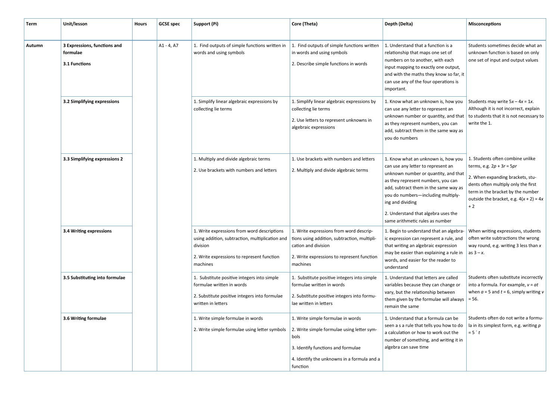| Term   | Unit/lesson                                               | <b>Hours</b> | <b>GCSE</b> spec | Support (Pi)                                                                                                                                                         | Core (Theta)                                                                                                                                                                             | Depth (Delta)                                                                                                                                                                                                                                                                                                                        | <b>Misconceptions</b>                                                                                                                                                                                                                |
|--------|-----------------------------------------------------------|--------------|------------------|----------------------------------------------------------------------------------------------------------------------------------------------------------------------|------------------------------------------------------------------------------------------------------------------------------------------------------------------------------------------|--------------------------------------------------------------------------------------------------------------------------------------------------------------------------------------------------------------------------------------------------------------------------------------------------------------------------------------|--------------------------------------------------------------------------------------------------------------------------------------------------------------------------------------------------------------------------------------|
| Autumn | 3 Expressions, functions and<br>formulae<br>3.1 Functions |              | $A1 - 4, A7$     | 1. Find outputs of simple functions written in<br>words and using symbols                                                                                            | 1. Find outputs of simple functions written<br>in words and using symbols<br>2. Describe simple functions in words                                                                       | 1. Understand that a function is a<br>relationship that maps one set of<br>numbers on to another, with each<br>input mapping to exactly one output,<br>and with the maths they know so far, it<br>can use any of the four operations is<br>important.                                                                                | Students sometimes decide what an<br>unknown function is based on only<br>one set of input and output values                                                                                                                         |
|        | 3.2 Simplifying expressions                               |              |                  | 1. Simplify linear algebraic expressions by<br>collecting lie terms                                                                                                  | 1. Simplify linear algebraic expressions by<br>collecting lie terms<br>2. Use letters to represent unknowns in<br>algebraic expressions                                                  | 1. Know what an unknown is, how you<br>can use any letter to represent an<br>unknown number or quantity, and that<br>as they represent numbers, you can<br>add, subtract them in the same way as<br>you do numbers                                                                                                                   | Students may write $5x - 4x = 1x$ .<br>Although it is not incorrect, explain<br>to students that it is not necessary to<br>write the 1.                                                                                              |
|        | 3.3 Simplifying expressions 2                             |              |                  | 1. Multiply and divide algebraic terms<br>2. Use brackets with numbers and letters                                                                                   | 1. Use brackets with numbers and letters<br>2. Multiply and divide algebraic terms                                                                                                       | 1. Know what an unknown is, how you<br>can use any letter to represent an<br>unknown number or quantity, and that<br>as they represent numbers, you can<br>add, subtract them in the same way as<br>you do numbers-including multiply-<br>ing and dividing<br>2. Understand that algebra uses the<br>same arithmetic rules as number | 1. Students often combine unlike<br>terms, e.g. $2p + 3r = 5pr$<br>2. When expanding brackets, stu-<br>dents often multiply only the first<br>term in the bracket by the number<br>outside the bracket, e.g. $4(x + 2) = 4x$<br>$+2$ |
|        | 3.4 Writing expressions                                   |              |                  | 1. Write expressions from word descriptions<br>using addition, subtraction, multiplication and<br>division<br>2. Write expressions to represent function<br>machines | 1. Write expressions from word descrip-<br>tions using addition, subtraction, multipli-<br>cation and division<br>2. Write expressions to represent function<br>machines                 | 1. Begin to understand that an algebra-<br>ic expression can represent a rule, and<br>that writing an algebraic expression<br>may be easier than explaining a rule in<br>words, and easier for the reader to<br>understand                                                                                                           | When writing expressions, students<br>often write subtractions the wrong<br>way round, e.g. writing 3 less than x<br>as $3 - x$ .                                                                                                    |
|        | 3.5 Substituting into formulae                            |              |                  | 1. Substitute positive integers into simple<br>formulae written in words<br>2. Substitute positive integers into formulae<br>written in letters                      | 1. Substitute positive integers into simple<br>formulae written in words<br>2. Substitute positive integers into formu-<br>lae written in letters                                        | 1. Understand that letters are called<br>variables because they can change or<br>vary, but the relationship between<br>them given by the formulae will always<br>remain the same                                                                                                                                                     | Students often substitute incorrectly<br>into a formula. For example, $v = at$<br>when $a = 5$ and $t = 6$ , simply writing v<br>$= 56.$                                                                                             |
|        | 3.6 Writing formulae                                      |              |                  | 1. Write simple formulae in words<br>2. Write simple formulae using letter symbols                                                                                   | 1. Write simple formulae in words<br>2. Write simple formulae using letter sym-<br>bols<br>3. Identify functions and formulae<br>4. Identify the unknowns in a formula and a<br>function | 1. Understand that a formula can be<br>seen a s a rule that tells you how to do<br>a calculation or how to work out the<br>number of something, and writing it in<br>algebra can save time                                                                                                                                           | Students often do not write a formu-<br>la in its simplest form, e.g. writing p<br>$= 5 \degree t$                                                                                                                                   |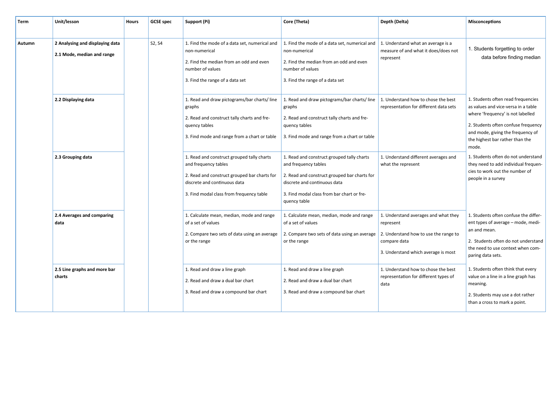| <b>Term</b> | Unit/lesson                                                   | <b>Hours</b> | <b>GCSE</b> spec | Support (Pi)                                                                                                                                                                                   | Core (Theta)                                                                                                                                                                                                     | Depth (Delta)                                                                                                                                     | <b>Misconceptions</b>                                                                                                                                                                                                                  |
|-------------|---------------------------------------------------------------|--------------|------------------|------------------------------------------------------------------------------------------------------------------------------------------------------------------------------------------------|------------------------------------------------------------------------------------------------------------------------------------------------------------------------------------------------------------------|---------------------------------------------------------------------------------------------------------------------------------------------------|----------------------------------------------------------------------------------------------------------------------------------------------------------------------------------------------------------------------------------------|
|             |                                                               |              |                  |                                                                                                                                                                                                |                                                                                                                                                                                                                  |                                                                                                                                                   |                                                                                                                                                                                                                                        |
| Autumn      | 2 Analysing and displaying data<br>2.1 Mode, median and range |              | S2, S4           | 1. Find the mode of a data set, numerical and<br>non-numerical<br>2. Find the median from an odd and even<br>number of values<br>3. Find the range of a data set                               | 1. Find the mode of a data set, numerical and $\vert$ 1. Understand what an average is a<br>non-numerical<br>2. Find the median from an odd and even<br>number of values<br>3. Find the range of a data set      | measure of and what it does/does not<br>represent                                                                                                 | 1. Students forgetting to order<br>data before finding median                                                                                                                                                                          |
|             | 2.2 Displaying data                                           |              |                  | 1. Read and draw pictograms/bar charts/line<br>graphs<br>2. Read and construct tally charts and fre-<br>quency tables<br>3. Find mode and range from a chart or table                          | 1. Read and draw pictograms/bar charts/line<br>graphs<br>2. Read and construct tally charts and fre-<br>quency tables<br>3. Find mode and range from a chart or table                                            | 1. Understand how to chose the best<br>representation for different data sets                                                                     | 1. Students often read frequencies<br>as values and vice-versa in a table<br>where 'frequency' is not labelled<br>2. Students often confuse frequency<br>and mode, giving the frequency of<br>the highest bar rather than the<br>mode. |
|             | 2.3 Grouping data                                             |              |                  | 1. Read and construct grouped tally charts<br>and frequency tables<br>2. Read and construct grouped bar charts for<br>discrete and continuous data<br>3. Find modal class from frequency table | 1. Read and construct grouped tally charts<br>and frequency tables<br>2. Read and construct grouped bar charts for<br>discrete and continuous data<br>3. Find modal class from bar chart or fre-<br>quency table | 1. Understand different averages and<br>what the represent                                                                                        | 1. Students often do not understand<br>they need to add individual frequen-<br>cies to work out the number of<br>people in a survey                                                                                                    |
|             | 2.4 Averages and comparing<br>data                            |              |                  | 1. Calculate mean, median, mode and range<br>of a set of values<br>2. Compare two sets of data using an average<br>or the range                                                                | 1. Calculate mean, median, mode and range<br>of a set of values<br>2. Compare two sets of data using an average<br>or the range                                                                                  | 1. Understand averages and what they<br>represent<br>2. Understand how to use the range to<br>compare data<br>3. Understand which average is most | 1. Students often confuse the differ-<br>ent types of average – mode, medi-<br>an and mean.<br>2. Students often do not understand<br>the need to use context when com-<br>paring data sets.                                           |
|             | 2.5 Line graphs and more bar<br>charts                        |              |                  | 1. Read and draw a line graph<br>2. Read and draw a dual bar chart<br>3. Read and draw a compound bar chart                                                                                    | 1. Read and draw a line graph<br>2. Read and draw a dual bar chart<br>3. Read and draw a compound bar chart                                                                                                      | 1. Understand how to chose the best<br>representation for different types of<br>data                                                              | 1. Students often think that every<br>value on a line in a line graph has<br>meaning.<br>2. Students may use a dot rather<br>than a cross to mark a point.                                                                             |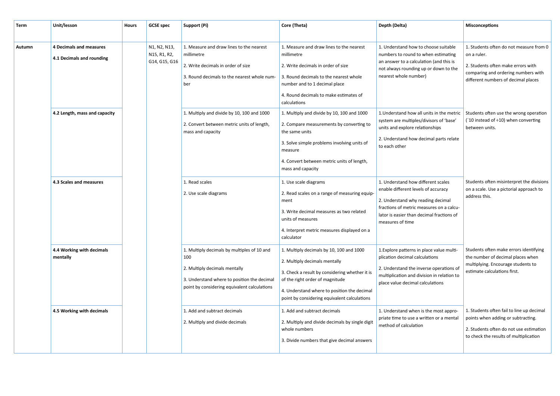| Term   | Unit/lesson                                          | <b>Hours</b>                 | <b>GCSE</b> spec | Support (Pi)                                                                                                                                                                       | Core (Theta)                                                                                                                                                                                                                                                  | Depth (Delta)                                                                                                                                                                                                                     | <b>Misconceptions</b>                                                                                                                                                                    |                                                                                                                                                                                                              |
|--------|------------------------------------------------------|------------------------------|------------------|------------------------------------------------------------------------------------------------------------------------------------------------------------------------------------|---------------------------------------------------------------------------------------------------------------------------------------------------------------------------------------------------------------------------------------------------------------|-----------------------------------------------------------------------------------------------------------------------------------------------------------------------------------------------------------------------------------|------------------------------------------------------------------------------------------------------------------------------------------------------------------------------------------|--------------------------------------------------------------------------------------------------------------------------------------------------------------------------------------------------------------|
| Autumn | 4 Decimals and measures<br>4.1 Decimals and rounding | N1, N2, N13,<br>N15, R1, R2, |                  | G14, G15, G16                                                                                                                                                                      | 1. Measure and draw lines to the nearest<br>millimetre<br>2. Write decimals in order of size<br>3. Round decimals to the nearest whole num-<br>ber                                                                                                            | 1. Measure and draw lines to the nearest<br>millimetre<br>2. Write decimals in order of size<br>3. Round decimals to the nearest whole<br>number and to 1 decimal place<br>4. Round decimals to make estimates of<br>calculations | 1. Understand how to choose suitable<br>numbers to round to when estimating<br>an answer to a calculation (and this is<br>not always rounding up or down to the<br>nearest whole number) | 1. Students often do not measure from 0<br>on a ruler.<br>2. Students often make errors with<br>comparing and ordering numbers with<br>different numbers of decimal places                                   |
|        | 4.2 Length, mass and capacity                        |                              |                  | 1. Multiply and divide by 10, 100 and 1000<br>2. Convert between metric units of length,<br>mass and capacity                                                                      | 1. Multiply and divide by 10, 100 and 1000<br>2. Compare measurements by converting to<br>the same units<br>3. Solve simple problems involving units of<br>measure<br>4. Convert between metric units of length,<br>mass and capacity                         | 1. Understand how all units in the metric<br>system are multiples/divisors of 'base'<br>units and explore relationships<br>2. Understand how decimal parts relate<br>to each other                                                | Students often use the wrong operation<br>$('10 instead of \div10) when converting$<br>between units.                                                                                    |                                                                                                                                                                                                              |
|        | 4.3 Scales and measures                              |                              |                  |                                                                                                                                                                                    |                                                                                                                                                                                                                                                               |                                                                                                                                                                                                                                   | 1. Read scales<br>2. Use scale diagrams                                                                                                                                                  | 1. Use scale diagrams<br>2. Read scales on a range of measuring equip-<br>ment<br>3. Write decimal measures as two related<br>units of measures<br>4. Interpret metric measures displayed on a<br>calculator |
|        | 4.4 Working with decimals<br>mentally                |                              |                  | 1. Multiply decimals by multiples of 10 and<br>100<br>2. Multiply decimals mentally<br>3. Understand where to position the decimal<br>point by considering equivalent calculations | 1. Multiply decimals by 10, 100 and 1000<br>2. Multiply decimals mentally<br>3. Check a result by considering whether it is<br>of the right order of magnitude<br>4. Understand where to position the decimal<br>point by considering equivalent calculations | 1. Explore patterns in place value multi-<br>plication decimal calculations<br>2. Understand the inverse operations of<br>multiplication and division in relation to<br>place value decimal calculations                          | Students often make errors identifying<br>the number of decimal places when<br>multiplying. Encourage students to<br>estimate calculations first.                                        |                                                                                                                                                                                                              |
|        | 4.5 Working with decimals                            |                              |                  | 1. Add and subtract decimals<br>2. Multiply and divide decimals                                                                                                                    | 1. Add and subtract decimals<br>2. Multiply and divide decimals by single digit<br>whole numbers<br>3. Divide numbers that give decimal answers                                                                                                               | 1. Understand when is the most appro-<br>priate time to use a written or a mental<br>method of calculation                                                                                                                        | 1. Students often fail to line up decimal<br>points when adding or subtracting.<br>2. Students often do not use estimation<br>to check the results of multiplication                     |                                                                                                                                                                                                              |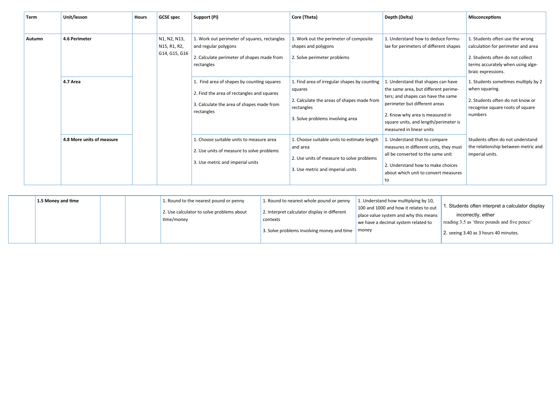| <b>Term</b>   | Unit/lesson               | Hours | <b>GCSE</b> spec                              | Support (Pi)                                                                                                                                        | Core (Theta)                                                                                                                                            | Depth (Delta)                                                                                                                                                                                                                                             | <b>Misconceptions</b>                                                                                                                                                |
|---------------|---------------------------|-------|-----------------------------------------------|-----------------------------------------------------------------------------------------------------------------------------------------------------|---------------------------------------------------------------------------------------------------------------------------------------------------------|-----------------------------------------------------------------------------------------------------------------------------------------------------------------------------------------------------------------------------------------------------------|----------------------------------------------------------------------------------------------------------------------------------------------------------------------|
|               |                           |       |                                               |                                                                                                                                                     |                                                                                                                                                         |                                                                                                                                                                                                                                                           |                                                                                                                                                                      |
| <b>Autumn</b> | 4.6 Perimeter             |       | N1, N2, N13,<br>N15, R1, R2,<br>G14, G15, G16 | 1. Work out perimeter of squares, rectangles<br>and regular polygons<br>2. Calculate perimeter of shapes made from<br>rectangles                    | 1. Work out the perimeter of composite<br>shapes and polygons<br>2. Solve perimeter problems                                                            | 1. Understand how to deduce formu-<br>lae for perimeters of different shapes                                                                                                                                                                              | 1. Students often use the wrong<br>calculation for perimeter and area<br>2. Students often do not collect<br>terms accurately when using alge-<br>braic expressions. |
|               | 4.7 Area                  |       |                                               | 1. Find area of shapes by counting squares<br>2. Find the area of rectangles and squares<br>3. Calculate the area of shapes made from<br>rectangles | 1. Find area of irregular shapes by counting<br>squares<br>2. Calculate the areas of shapes made from<br>rectangles<br>3. Solve problems involving area | 1. Understand that shapes can have<br>the same area, but different perime-<br>ters; and shapes can have the same<br>perimeter but different areas<br>2. Know why area is measured in<br>square units, and length/perimeter is<br>measured in linear units | 1. Students sometimes multiply by 2<br>when squaring.<br>2. Students often do not know or<br>recognise square roots of square<br>numbers                             |
|               | 4.8 More units of measure |       |                                               | 1. Choose suitable units to measure area<br>2. Use units of measure to solve problems<br>3. Use metric and imperial units                           | 1. Choose suitable units to estimate length<br>and area<br>2. Use units of measure to solve problems<br>3. Use metric and imperial units                | 1. Understand that to compare<br>measures in different units, they must<br>all be converted to the same unit<br>2. Understand how to make choices<br>about which unit to convert measures<br>to                                                           | Students often do not understand<br>the relationship between metric and<br>imperial units.                                                                           |

| 1.5 Money and time<br>1. Round to the nearest pound or penny<br>2. Use calculator to solve problems about<br>time/money | 1. Round to nearest whole pound or penny<br>2. Interpret calculator display in different<br>contexts<br>3. Solve problems involving money and time | 1. Understand how multiplying by 10,<br>100 and 1000 and how it relates to out<br>I place value system and why this means<br>we have a decimal system related to<br>  money | 1. Students often interpret a calculator display<br>incorrectly, either<br>reading 3.5 as 'three pounds and five pence'<br>2. seeing 3.40 as 3 hours 40 minutes. |
|-------------------------------------------------------------------------------------------------------------------------|----------------------------------------------------------------------------------------------------------------------------------------------------|-----------------------------------------------------------------------------------------------------------------------------------------------------------------------------|------------------------------------------------------------------------------------------------------------------------------------------------------------------|
|-------------------------------------------------------------------------------------------------------------------------|----------------------------------------------------------------------------------------------------------------------------------------------------|-----------------------------------------------------------------------------------------------------------------------------------------------------------------------------|------------------------------------------------------------------------------------------------------------------------------------------------------------------|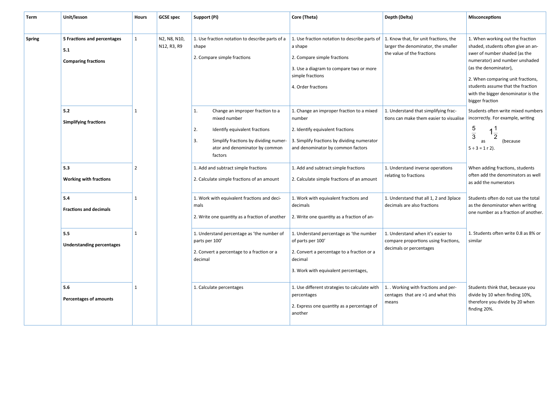| Term          | Unit/lesson                                                      | <b>Hours</b>   | <b>GCSE spec</b>            | Support (Pi)                                                                                                                                                                              | Core (Theta)                                                                                                                                                                 | Depth (Delta)                                                                                                                                           | <b>Misconceptions</b>                                                                                                                                                                                                                                                                                 |                                                                                                                                |                                        |                                                                                                                |
|---------------|------------------------------------------------------------------|----------------|-----------------------------|-------------------------------------------------------------------------------------------------------------------------------------------------------------------------------------------|------------------------------------------------------------------------------------------------------------------------------------------------------------------------------|---------------------------------------------------------------------------------------------------------------------------------------------------------|-------------------------------------------------------------------------------------------------------------------------------------------------------------------------------------------------------------------------------------------------------------------------------------------------------|--------------------------------------------------------------------------------------------------------------------------------|----------------------------------------|----------------------------------------------------------------------------------------------------------------|
|               |                                                                  |                |                             |                                                                                                                                                                                           |                                                                                                                                                                              |                                                                                                                                                         |                                                                                                                                                                                                                                                                                                       |                                                                                                                                |                                        |                                                                                                                |
| <b>Spring</b> | 5 Fractions and percentages<br>5.1<br><b>Comparing fractions</b> | $\mathbf{1}$   | N2, N8, N10,<br>N12, R3, R9 | 1. Use fraction notation to describe parts of a<br>shape<br>2. Compare simple fractions                                                                                                   | 1. Use fraction notation to describe parts of<br>a shape<br>2. Compare simple fractions<br>3. Use a diagram to compare two or more<br>simple fractions<br>4. Order fractions | 1. Know that, for unit fractions, the<br>larger the denominator, the smaller<br>the value of the fractions                                              | 1. When working out the fraction<br>shaded, students often give an an-<br>swer of number shaded (as the<br>numerator) and number unshaded<br>(as the denominator),<br>2. When comparing unit fractions,<br>students assume that the fraction<br>with the bigger denominator is the<br>bigger fraction |                                                                                                                                |                                        |                                                                                                                |
|               | 5.2<br><b>Simplifying fractions</b>                              | $\mathbf{1}$   |                             | Change an improper fraction to a<br>1.<br>mixed number<br>2.<br>Identify equivalent fractions<br>3.<br>Simplify fractions by dividing numer-<br>ator and denominator by common<br>factors | 1. Change an improper fraction to a mixed<br>number<br>2. Identify equivalent fractions<br>3. Simplify fractions by dividing numerator<br>and denominator by common factors  | 1. Understand that simplifying frac-<br>tions can make them easier to visualise                                                                         | Students often write mixed numbers<br>incorrectly. For example, writing<br>$\frac{5}{3}$<br>as<br>(because)<br>$5 \div 3 = 1 r 2$ ).                                                                                                                                                                  |                                                                                                                                |                                        |                                                                                                                |
|               | 5.3<br><b>Working with fractions</b>                             | $\overline{2}$ |                             | 1. Add and subtract simple fractions<br>2. Calculate simple fractions of an amount                                                                                                        | 1. Add and subtract simple fractions<br>2. Calculate simple fractions of an amount                                                                                           | 1. Understand inverse operations<br>relating to fractions                                                                                               | When adding fractions, students<br>often add the denominators as well<br>as add the numerators                                                                                                                                                                                                        |                                                                                                                                |                                        |                                                                                                                |
|               | 5.4<br><b>Fractions and decimals</b>                             | $\mathbf{1}$   |                             |                                                                                                                                                                                           |                                                                                                                                                                              |                                                                                                                                                         | 1. Work with equivalent fractions and deci-<br>mals<br>2. Write one quantity as a fraction of another                                                                                                                                                                                                 | 1. Work with equivalent fractions and<br>decimals are also fractions<br>decimals<br>2. Write one quantity as a fraction of an- | 1. Understand that all 1, 2 and 3place | Students often do not use the total<br>as the denominator when writing<br>one number as a fraction of another. |
|               | 5.5<br><b>Understanding percentages</b>                          | $\mathbf{1}$   |                             | 1. Understand percentage as 'the number of<br>parts per 100'<br>2. Convert a percentage to a fraction or a<br>decimal                                                                     | 1. Understand percentage as 'the number<br>of parts per 100'<br>2. Convert a percentage to a fraction or a<br>decimal<br>3. Work with equivalent percentages,                | 1. Students often write 0.8 as 8% or<br>1. Understand when it's easier to<br>similar<br>compare proportions using fractions,<br>decimals or percentages |                                                                                                                                                                                                                                                                                                       |                                                                                                                                |                                        |                                                                                                                |
|               | 5.6<br><b>Percentages of amounts</b>                             | $\mathbf{1}$   |                             | 1. Calculate percentages                                                                                                                                                                  | 1. Use different strategies to calculate with<br>percentages<br>2. Express one quantity as a percentage of<br>another                                                        | 1. . Working with fractions and per-<br>centages that are >1 and what this<br>means                                                                     | Students think that, because you<br>divide by 10 when finding 10%,<br>therefore you divide by 20 when<br>finding 20%.                                                                                                                                                                                 |                                                                                                                                |                                        |                                                                                                                |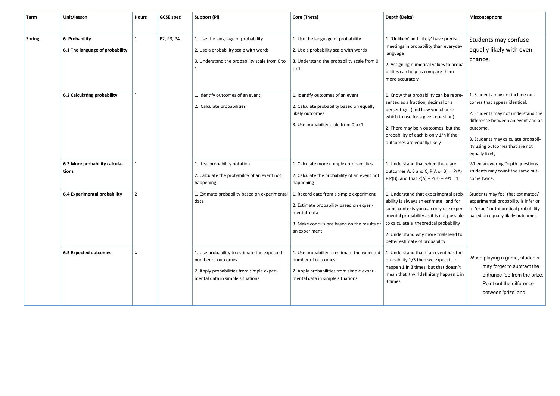| Term          | Unit/lesson                                       | <b>Hours</b>   | <b>GCSE</b> spec | Support (Pi)                                                                                                                                        | Core (Theta)                                                                                                                                                       | Depth (Delta)                                                                                                                                                                                                                                                                              | <b>Misconceptions</b>                                                                                                                                                                                                                                 |
|---------------|---------------------------------------------------|----------------|------------------|-----------------------------------------------------------------------------------------------------------------------------------------------------|--------------------------------------------------------------------------------------------------------------------------------------------------------------------|--------------------------------------------------------------------------------------------------------------------------------------------------------------------------------------------------------------------------------------------------------------------------------------------|-------------------------------------------------------------------------------------------------------------------------------------------------------------------------------------------------------------------------------------------------------|
|               |                                                   |                |                  |                                                                                                                                                     |                                                                                                                                                                    |                                                                                                                                                                                                                                                                                            |                                                                                                                                                                                                                                                       |
| <b>Spring</b> | 6. Probability<br>6.1 The language of probability | $\mathbf{1}$   | P2, P3, P4       | 1. Use the language of probability<br>2. Use a probability scale with words<br>3. Understand the probability scale from 0 to                        | 1. Use the language of probability<br>2. Use a probability scale with words<br>3. Understand the probability scale from 0<br>to $1$                                | 1. 'Unlikely' and 'likely' have precise<br>meetings in probability than everyday<br>language<br>2. Assigning numerical values to proba-<br>bilities can help us compare them<br>more accurately                                                                                            | Students may confuse<br>equally likely with even<br>chance.                                                                                                                                                                                           |
|               | 6.2 Calculating probability                       | $\mathbf{1}$   |                  | 1. Identify outcomes of an event<br>2. Calculate probabilities                                                                                      | 1. Identify outcomes of an event<br>2. Calculate probability based on equally<br>likely outcomes<br>3. Use probability scale from 0 to 1                           | 1. Know that probability can be repre-<br>sented as a fraction, decimal or a<br>percentage (and how you choose<br>which to use for a given question)<br>2. There may be n outcomes, but the<br>probability of each is only 1/n if the<br>outcomes are equally likely                       | 1. Students may not include out-<br>comes that appear identical.<br>2. Students may not understand the<br>difference between an event and an<br>outcome.<br>3. Students may calculate probabil-<br>ity using outcomes that are not<br>equally likely. |
|               | 6.3 More probability calcula-<br>tions            | $\mathbf{1}$   |                  | 1. Use probability notation<br>2. Calculate the probability of an event not<br>happening                                                            | 1. Calculate more complex probabilities<br>2. Calculate the probability of an event not<br>happening                                                               | 1. Understand that when there are<br>outcomes A, B and C, $P(A \text{ or } B) = P(A)$<br>+ $P(B)$ , and that $P(A)$ + $P(B)$ + $PC = 1$                                                                                                                                                    | When answering Depth questions<br>students may count the same out-<br>come twice.                                                                                                                                                                     |
|               | 6.4 Experimental probability                      | $\overline{2}$ |                  | 1. Estimate probability based on experimental<br>data                                                                                               | 1. Record date from a simple experiment<br>2. Estimate probability based on experi-<br>mental data<br>3. Make conclusions based on the results of<br>an experiment | 1. Understand that experimental prob-<br>ability is always an estimate, and for<br>some contexts you can only use exper-<br>imental probability as it is not possible<br>to calculate a theoretical probability<br>2. Understand why more trials lead to<br>better estimate of probability | Students may feel that estimated/<br>experimental probability is inferior<br>to 'exact' or theoretical probability<br>based on equally likely outcomes.                                                                                               |
|               | <b>6.5 Expected outcomes</b>                      | $\mathbf{1}$   |                  | 1. Use probability to estimate the expected<br>number of outcomes<br>2. Apply probabilities from simple experi-<br>mental data in simple situations | 1. Use probability to estimate the expected<br>number of outcomes<br>2. Apply probabilities from simple experi-<br>mental data in simple situations                | 1. Understand that if an event has the<br>probability 1/3 then we expect it to<br>happen 1 in 3 times, but that doesn't<br>mean that it will definitely happen 1 in<br>3 times                                                                                                             | When playing a game, students<br>may forget to subtract the<br>entrance fee from the prize.<br>Point out the difference<br>between 'prize' and                                                                                                        |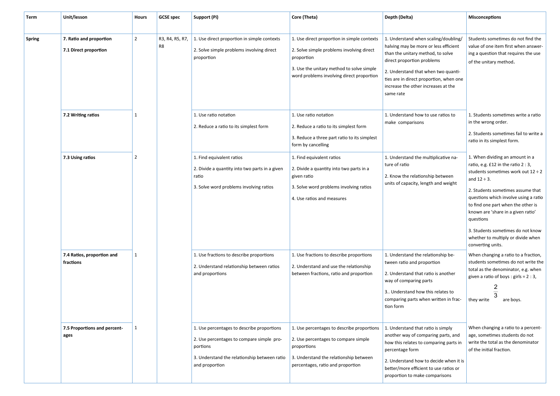| Term          | Unit/lesson                                      | <b>Hours</b>   | <b>GCSE</b> spec      | Support (Pi)                                                                                                                                                          | Core (Theta)                                                                                                                                                                                     | Depth (Delta)                                                                                                                                                                                                                                                                          | <b>Misconceptions</b>                                                                                                                                                                                                                                                                                                                                                                                         |
|---------------|--------------------------------------------------|----------------|-----------------------|-----------------------------------------------------------------------------------------------------------------------------------------------------------------------|--------------------------------------------------------------------------------------------------------------------------------------------------------------------------------------------------|----------------------------------------------------------------------------------------------------------------------------------------------------------------------------------------------------------------------------------------------------------------------------------------|---------------------------------------------------------------------------------------------------------------------------------------------------------------------------------------------------------------------------------------------------------------------------------------------------------------------------------------------------------------------------------------------------------------|
| <b>Spring</b> | 7. Ratio and proportion<br>7.1 Direct proportion | $\overline{2}$ | R3, R4, R5, R7,<br>R8 | 1. Use direct proportion in simple contexts<br>2. Solve simple problems involving direct<br>proportion                                                                | 1. Use direct proportion in simple contexts<br>2. Solve simple problems involving direct<br>proportion<br>3. Use the unitary method to solve simple<br>word problems involving direct proportion | 1. Understand when scaling/doubling/<br>halving may be more or less efficient<br>than the unitary method, to solve<br>direct proportion problems<br>2. Understand that when two quanti-<br>ties are in direct proportion, when one<br>increase the other increases at the<br>same rate | Students sometimes do not find the<br>value of one item first when answer-<br>ing a question that requires the use<br>of the unitary method.                                                                                                                                                                                                                                                                  |
|               | 7.2 Writing ratios                               | $\mathbf{1}$   |                       | 1. Use ratio notation<br>2. Reduce a ratio to its simplest form                                                                                                       | 1. Use ratio notation<br>2. Reduce a ratio to its simplest form<br>3. Reduce a three part ratio to its simplest<br>form by cancelling                                                            | 1. Understand how to use ratios to<br>make comparisons                                                                                                                                                                                                                                 | 1. Students sometimes write a ratio<br>in the wrong order.<br>2. Students sometimes fail to write a<br>ratio in its simplest form.                                                                                                                                                                                                                                                                            |
|               | 7.3 Using ratios                                 | $\overline{2}$ |                       | 1. Find equivalent ratios<br>2. Divide a quantity into two parts in a given<br>ratio<br>3. Solve word problems involving ratios                                       | 1. Find equivalent ratios<br>2. Divide a quantity into two parts in a<br>given ratio<br>3. Solve word problems involving ratios<br>4. Use ratios and measures                                    | 1. Understand the multiplicative na-<br>ture of ratio<br>2. Know the relationship between<br>units of capacity, length and weight                                                                                                                                                      | 1. When dividing an amount in a<br>ratio, e.g. £12 in the ratio 2 : 3,<br>students sometimes work out $12 \div 2$<br>and $12 \div 3$ .<br>2. Students sometimes assume that<br>questions which involve using a ratio<br>to find one part when the other is<br>known are 'share in a given ratio'<br>questions<br>3. Students sometimes do not know<br>whether to multiply or divide when<br>converting units. |
|               | 7.4 Ratios, proportion and<br>fractions          | $\mathbf{1}$   |                       | 1. Use fractions to describe proportions<br>2. Understand relationship between ratios<br>and proportions                                                              | 1. Use fractions to describe proportions<br>2. Understand and use the relationship<br>between fractions, ratio and proportion                                                                    | 1. Understand the relationship be-<br>tween ratio and proportion<br>2. Understand that ratio is another<br>way of comparing parts<br>3 Understand how this relates to<br>comparing parts when written in frac-<br>tion form                                                            | When changing a ratio to a fraction,<br>students sometimes do not write the<br>total as the denominator, e.g. when<br>given a ratio of boys : girls = $2:3$ ,<br>2<br>$\overline{3}$<br>are boys.<br>they write                                                                                                                                                                                               |
|               | 7.5 Proportions and percent-<br>ages             | 1              |                       | 1. Use percentages to describe proportions<br>2. Use percentages to compare simple pro-<br>portions<br>3. Understand the relationship between ratio<br>and proportion | 1. Use percentages to describe proportions<br>2. Use percentages to compare simple<br>proportions<br>3. Understand the relationship between<br>percentages, ratio and proportion                 | 1. Understand that ratio is simply<br>another way of comparing parts, and<br>how this relates to comparing parts in<br>percentage form<br>2. Understand how to decide when it is<br>better/more efficient to use ratios or<br>proportion to make comparisons                           | When changing a ratio to a percent-<br>age, sometimes students do not<br>write the total as the denominator<br>of the initial fraction.                                                                                                                                                                                                                                                                       |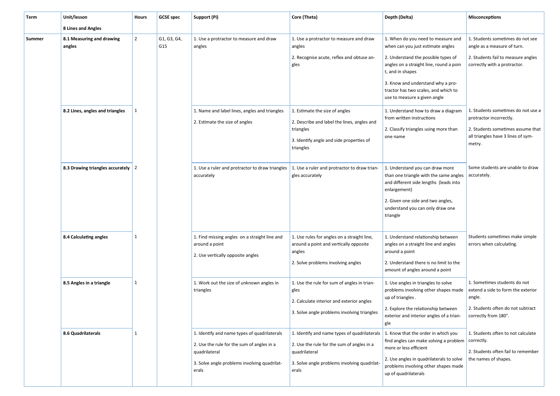| Term   | Unit/lesson                                 | <b>Hours</b>   | <b>GCSE</b> spec   | Support (Pi)                                                                                                                                                         | Core (Theta)                                                                                                                                                         | Depth (Delta)                                                                                                                                                                                                                                                                              | <b>Misconceptions</b>                                                                                                                              |
|--------|---------------------------------------------|----------------|--------------------|----------------------------------------------------------------------------------------------------------------------------------------------------------------------|----------------------------------------------------------------------------------------------------------------------------------------------------------------------|--------------------------------------------------------------------------------------------------------------------------------------------------------------------------------------------------------------------------------------------------------------------------------------------|----------------------------------------------------------------------------------------------------------------------------------------------------|
|        | 8 Lines and Angles                          |                |                    |                                                                                                                                                                      |                                                                                                                                                                      |                                                                                                                                                                                                                                                                                            |                                                                                                                                                    |
| Summer | 8.1 Measuring and drawing<br>angles         | $\overline{2}$ | G1, G3, G4,<br>G15 | 1. Use a protractor to measure and draw<br>angles                                                                                                                    | 1. Use a protractor to measure and draw<br>angles<br>2. Recognise acute, reflex and obtuse an-<br>gles                                                               | 1. When do you need to measure and<br>when can you just estimate angles<br>2. Understand the possible types of<br>angles on a straight line, round a poin<br>t, and in shapes<br>3. Know and understand why a pro-<br>tractor has two scales, and which to<br>use to measure a given angle | 1. Students sometimes do not see<br>angle as a measure of turn.<br>2. Students fail to measure angles<br>correctly with a protractor.              |
|        | 8.2 Lines, angles and triangles             | $\mathbf{1}$   |                    | 1. Name and label lines, angles and triangles<br>2. Estimate the size of angles                                                                                      | 1. Estimate the size of angles<br>2. Describe and label the lines, angles and<br>triangles<br>3. Identify angle and side properties of<br>triangles                  | 1. Understand how to draw a diagram<br>from written instructions<br>2. Classify triangles using more than<br>one name                                                                                                                                                                      | 1. Students sometimes do not use a<br>protractor incorrectly.<br>2. Students sometimes assume that<br>all triangles have 3 lines of sym-<br>metry. |
|        | 8.3 Drawing triangles accurately $\sqrt{2}$ |                |                    | 1. Use a ruler and protractor to draw triangles $\vert$ 1. Use a ruler and protractor to draw trian-<br>accurately                                                   | gles accurately                                                                                                                                                      | 1. Understand you can draw more<br>than one triangle with the same angles<br>and different side lengths (leads into<br>enlargement)<br>2. Given one side and two angles,<br>understand you can only draw one<br>triangle                                                                   | Some students are unable to draw<br>accurately.                                                                                                    |
|        | 8.4 Calculating angles                      | $\mathbf{1}$   |                    | 1. Find missing angles on a straight line and<br>around a point<br>2. Use vertically opposite angles                                                                 | 1. Use rules for angles on a straight line,<br>around a point and vertically opposite<br>angles<br>2. Solve problems involving angles                                | 1. Understand relationship between<br>angles on a straight line and angles<br>around a point<br>2. Understand there is no limit to the<br>amount of angles around a point                                                                                                                  | Students sometimes make simple<br>errors when calculating.                                                                                         |
|        | 8.5 Angles in a triangle                    | 1              |                    | 1. Work out the size of unknown angles in<br>triangles                                                                                                               | 1. Use the rule for sum of angles in trian-<br>gles<br>2. Calculate interior and exterior angles<br>3. Solve angle problems involving triangles                      | 1. Use angles in triangles to solve<br>problems involving other shapes made<br>up of triangles.<br>2. Explore the relationship between<br>exterior and interior angles of a trian-<br>gle                                                                                                  | 1. Sometimes students do not<br>extend a side to form the exterior<br>angle.<br>2. Students often do not subtract<br>correctly from 180°.          |
|        | 8.6 Quadrilaterals                          | 1              |                    | 1. Identify and name types of quadrilaterals<br>2. Use the rule for the sum of angles in a<br>quadrilateral<br>3. Solve angle problems involving quadrilat-<br>erals | 1. Identify and name types of quadrilaterals<br>2. Use the rule for the sum of angles in a<br>quadrilateral<br>3. Solve angle problems involving quadrilat-<br>erals | 1. Know that the order in which you<br>find angles can make solving a problem<br>more or less efficient<br>2. Use angles in quadrilaterals to solve<br>problems involving other shapes made<br>up of quadrilaterals                                                                        | 1. Students often to not calculate<br>correctly.<br>2. Students often fail to remember<br>the names of shapes.                                     |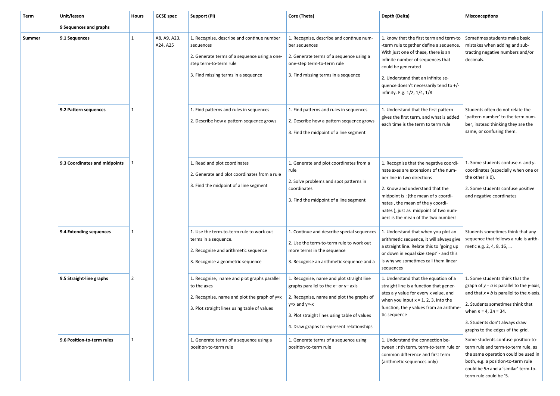| Term   | Unit/lesson                   | Hours          | <b>GCSE spec</b>         | Support (Pi)                                                                                                                                                             | Core (Theta)                                                                                                                                                                                                                                        | Depth (Delta)                                                                                                                                                                                                                                                                                             | <b>Misconceptions</b>                                                                                                                                                                                                                                                |
|--------|-------------------------------|----------------|--------------------------|--------------------------------------------------------------------------------------------------------------------------------------------------------------------------|-----------------------------------------------------------------------------------------------------------------------------------------------------------------------------------------------------------------------------------------------------|-----------------------------------------------------------------------------------------------------------------------------------------------------------------------------------------------------------------------------------------------------------------------------------------------------------|----------------------------------------------------------------------------------------------------------------------------------------------------------------------------------------------------------------------------------------------------------------------|
|        | 9 Sequences and graphs        |                |                          |                                                                                                                                                                          |                                                                                                                                                                                                                                                     |                                                                                                                                                                                                                                                                                                           |                                                                                                                                                                                                                                                                      |
| Summer | 9.1 Sequences                 | $\mathbf{1}$   | A8, A9, A23,<br>A24, A25 | 1. Recognise, describe and continue number<br>sequences<br>2. Generate terms of a sequence using a one-<br>step term-to-term rule<br>3. Find missing terms in a sequence | 1. Recognise, describe and continue num-<br>ber sequences<br>2. Generate terms of a sequence using a<br>one-step term-to-term rule<br>3. Find missing terms in a sequence                                                                           | 1. know that the first term and term-to<br>-term rule together define a sequence.<br>With just one of these, there is an<br>infinite number of sequences that<br>could be generated<br>2. Understand that an infinite se-<br>quence doesn't necessarily tend to $+/-$<br>infinity. E.g. 1/2, 1/4, 1/8     | Sometimes students make basic<br>mistakes when adding and sub-<br>tracting negative numbers and/or<br>decimals.                                                                                                                                                      |
|        | 9.2 Pattern sequences         | $\mathbf{1}$   |                          | 1. Find patterns and rules in sequences<br>2. Describe how a pattern sequence grows                                                                                      | 1. Find patterns and rules in sequences<br>2. Describe how a pattern sequence grows<br>3. Find the midpoint of a line segment                                                                                                                       | 1. Understand that the first pattern<br>gives the first term, and what is added<br>each time is the term to term rule                                                                                                                                                                                     | Students often do not relate the<br>'pattern number' to the term num-<br>ber, instead thinking they are the<br>same, or confusing them.                                                                                                                              |
|        | 9.3 Coordinates and midpoints |                |                          | 1. Read and plot coordinates<br>2. Generate and plot coordinates from a rule<br>3. Find the midpoint of a line segment                                                   | 1. Generate and plot coordinates from a<br>rule<br>2. Solve problems and spot patterns in<br>coordinates<br>3. Find the midpoint of a line segment                                                                                                  | 1. Recognise that the negative coordi-<br>nate axes are extensions of the num-<br>ber line in two directions<br>2. Know and understand that the<br>midpoint is: (the mean of x coordi-<br>nates, the mean of the y coordi-<br>nates), just as midpoint of two num-<br>bers is the mean of the two numbers | 1. Some students confuse $x$ - and $y$ -<br>coordinates (especially when one or<br>the other is 0).<br>2. Some students confuse positive<br>and negative coordinates                                                                                                 |
|        | 9.4 Extending sequences       | $\mathbf{1}$   |                          | 1. Use the term-to-term rule to work out<br>terms in a sequence.<br>2. Recognise and arithmetic sequence<br>3. Recognise a geometric sequence                            | 1. Continue and describe special sequences<br>2. Use the term-to-term rule to work out<br>more terms in the sequence<br>3. Recognise an arithmetic sequence and a                                                                                   | 1. Understand that when you plot an<br>arithmetic sequence, it will always give<br>a straight line. Relate this to 'going up<br>or down in equal size steps' - and this<br>is why we sometimes call them linear<br>sequences                                                                              | Students sometimes think that any<br>sequence that follows a rule is arith-<br>metic e.g. 2, 4, 8, 16,                                                                                                                                                               |
|        | 9.5 Straight-line graphs      | $\overline{2}$ |                          | 1. Recognise, name and plot graphs parallel<br>to the axes<br>2. Recognise, name and plot the graph of $y=x$<br>3. Plot straight lines using table of values             | 1. Recognise, name and plot straight line<br>graphs parallel to the $x-$ or $y-$ axis<br>2. Recognise, name and plot the graphs of<br>$y=x$ and $y=-x$<br>3. Plot straight lines using table of values<br>4. Draw graphs to represent relationships | 1. Understand that the equation of a<br>straight line is a function that gener-<br>ates a y value for every x value, and<br>when you input $x = 1, 2, 3$ , into the<br>function, the y values from an arithme-<br>tic sequence                                                                            | 1. Some students think that the<br>graph of $y = a$ is parallel to the y-axis,<br>and that $x = b$ is parallel to the x-axis.<br>2. Students sometimes think that<br>when $n = 4$ , $3n = 34$ .<br>3. Students don't always draw<br>graphs to the edges of the grid. |
|        | 9.6 Position-to-term rules    | $\mathbf{1}$   |                          | 1. Generate terms of a sequence using a<br>position-to-term rule                                                                                                         | 1. Generate terms of a sequence using<br>position-to-term rule                                                                                                                                                                                      | 1. Understand the connection be-<br>tween : nth term, term-to-term rule or<br>common difference and first term<br>(arithmetic sequences only)                                                                                                                                                             | Some students confuse position-to-<br>term rule and term-to-term rule, as<br>the same operation could be used in<br>both, e.g. a position-to-term rule<br>could be 5n and a 'similar' term-to-<br>term rule could be '5.                                             |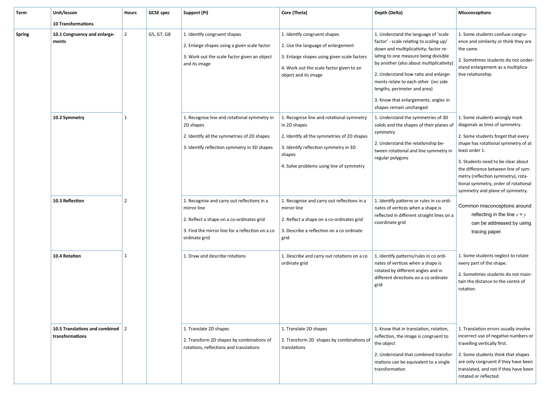| Term          | Unit/lesson                                         | Hours          | <b>GCSE</b> spec | Support (Pi)                                                                                                                                                                 | Core (Theta)                                                                                                                                                                                            | Depth (Delta)                                                                                                                                                                                                                                                                                                                                                                                    | <b>Misconceptions</b>                                                                                                                                                                                                                                                                                                                                         |
|---------------|-----------------------------------------------------|----------------|------------------|------------------------------------------------------------------------------------------------------------------------------------------------------------------------------|---------------------------------------------------------------------------------------------------------------------------------------------------------------------------------------------------------|--------------------------------------------------------------------------------------------------------------------------------------------------------------------------------------------------------------------------------------------------------------------------------------------------------------------------------------------------------------------------------------------------|---------------------------------------------------------------------------------------------------------------------------------------------------------------------------------------------------------------------------------------------------------------------------------------------------------------------------------------------------------------|
|               | <b>10 Transformations</b>                           |                |                  |                                                                                                                                                                              |                                                                                                                                                                                                         |                                                                                                                                                                                                                                                                                                                                                                                                  |                                                                                                                                                                                                                                                                                                                                                               |
| <b>Spring</b> | 10.1 Congruency and enlarge-<br>ments               | $\overline{2}$ | G5, G7, G8       | 1. Identify congruent shapes<br>2. Enlarge shapes using a given scale factor<br>3. Work out the scale factor given an object<br>and its image                                | 1. Identify congruent shapes<br>2. Use the language of enlargement<br>3. Enlarge shapes using given scale factors<br>4. Work out the scale factor given to an<br>object and its image                   | 1. Understand the language of 'scale<br>factor' - scale relating to scaling up/<br>down and multiplicativity; factor re-<br>lating to one measure being divisible<br>by another (also about multiplicativity)<br>2. Understand how ratio and enlarge-<br>ments relate to each other (inc side<br>lengths, perimeter and area)<br>3. Know that enlargements, angles in<br>shapes remain unchanged | 1. Some students confuse congru-<br>ence and similarity or think they are<br>the same.<br>2. Sometimes students do not under-<br>stand enlargement as a multiplica-<br>tive relationship.                                                                                                                                                                     |
|               | 10.2 Symmetry                                       | 1              |                  | 1. Recognise line and rotational symmetry in<br>2D shapes<br>2. Identify all the symmetries of 2D shapes<br>3. Identify reflection symmetry in 3D shapes                     | 1. Recognise line and rotational symmetry<br>in 2D shapes<br>2. Identify all the symmetries of 2D shapes<br>3. Identify reflection symmetry in 3D<br>shapes<br>4. Solve problems using line of symmetry | 1. Understand the symmetries of 3D<br>solids and the shapes of their planes of<br>symmetry<br>2. Understand the relationship be-<br>tween rotational and line symmetry in<br>regular polygons                                                                                                                                                                                                    | 1. Some students wrongly mark<br>diagonals as lines of symmetry.<br>2. Some students forget that every<br>shape has rotational symmetry of at<br>least order 1.<br>3. Students need to be clear about<br>the difference between line of sym-<br>metry (reflection symmetry), rota-<br>tional symmetry, order of rotational<br>symmetry and plane of symmetry. |
|               | 10.3 Reflection                                     | 2              |                  | 1. Recognise and carry out reflections in a<br>mirror line<br>2. Reflect a shape on a co-ordinates grid<br>3. Find the mirror line for a reflection on a co<br>ordinate grid | 1. Recognise and carry out reflections in a<br>mirror line<br>2. Reflect a shape on a co-ordinates grid<br>3. Describe a reflection on a co ordinate<br>grid                                            | 1. Identify patterns or rules in co ordi-<br>nates of vertices when a shape is<br>reflected in different straight lines on a<br>coordinate grid                                                                                                                                                                                                                                                  | Common misconceptions around<br>reflecting in the line $x = y$<br>can be addressed by using<br>tracing paper.                                                                                                                                                                                                                                                 |
|               | 10.4 Rotation                                       | 1              |                  | 1. Draw and describe rotations                                                                                                                                               | 1. Describe and carry out rotations on a co<br>ordinate grid                                                                                                                                            | 1. Identify patterns/rules in co ordi-<br>nates of vertices when a shape is<br>rotated by different angles and in<br>different directions on a co ordinate<br>grid                                                                                                                                                                                                                               | 1. Some students neglect to rotate<br>every part of the shape.<br>2. Sometimes students do not main-<br>tain the distance to the centre of<br>rotation.                                                                                                                                                                                                       |
|               | 10.5 Translations and combined 2<br>transformations |                |                  | 1. Translate 2D shapes<br>2. Transform 2D shapes by combinations of<br>rotations, reflections and translations                                                               | 1. Translate 2D shapes<br>2. Transform 2D shapes by combinations of<br>translations                                                                                                                     | 1. Know that in translation, rotation,<br>reflection, the image is congruent to<br>the object<br>2. Understand that combined transfor-<br>mations can be equivalent to a single<br>transformation                                                                                                                                                                                                | 1. Translation errors usually involve<br>incorrect use of negative numbers or<br>travelling vertically first.<br>2. Some students think that shapes<br>are only congruent if they have been<br>translated, and not if they have been<br>rotated or reflected.                                                                                                 |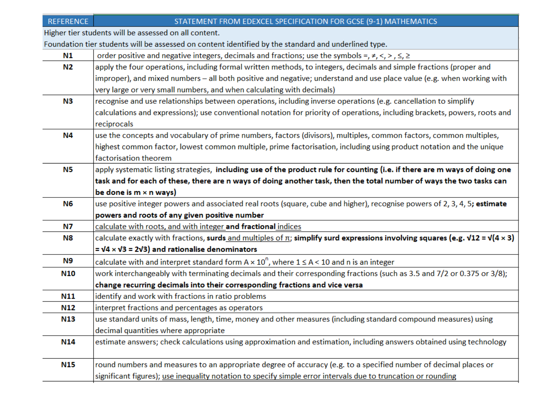| <b>REFERENCE</b>                                      | STATEMENT FROM EDEXCEL SPECIFICATION FOR GCSE (9-1) MATHEMATICS                                                                                      |
|-------------------------------------------------------|------------------------------------------------------------------------------------------------------------------------------------------------------|
| ligher tier students will be assessed on all content. |                                                                                                                                                      |
|                                                       | oundation tier students will be assessed on content identified by the standard and underlined type.                                                  |
| N1                                                    | order positive and negative integers, decimals and fractions; use the symbols =, $\neq$ , $\lt$ , $>$ , $\leq$ , $\geq$                              |
| N2                                                    | apply the four operations, including formal written methods, to integers, decimals and simple fractions (proper and                                  |
|                                                       | improper), and mixed numbers - all both positive and negative; understand and use place value (e.g. when working with                                |
|                                                       | very large or very small numbers, and when calculating with decimals)                                                                                |
| N3                                                    | recognise and use relationships between operations, including inverse operations (e.g. cancellation to simplify                                      |
|                                                       | calculations and expressions); use conventional notation for priority of operations, including brackets, powers, roots and                           |
| reciprocals                                           |                                                                                                                                                      |
| N4                                                    | use the concepts and vocabulary of prime numbers, factors (divisors), multiples, common factors, common multiples,                                   |
|                                                       | highest common factor, lowest common multiple, prime factorisation, including using product notation and the unique                                  |
| factorisation theorem                                 |                                                                                                                                                      |
| N5                                                    | apply systematic listing strategies, including use of the product rule for counting (i.e. if there are m ways of doing one                           |
|                                                       | task and for each of these, there are n ways of doing another task, then the total number of ways the two tasks can                                  |
| be done is $m \times n$ ways)                         |                                                                                                                                                      |
| N6                                                    | use positive integer powers and associated real roots (square, cube and higher), recognise powers of 2, 3, 4, 5; estimate                            |
|                                                       | powers and roots of any given positive number                                                                                                        |
| N7                                                    | calculate with roots, and with integer and fractional indices                                                                                        |
| N8                                                    | calculate exactly with fractions, surds and multiples of $\pi$ ; simplify surd expressions involving squares (e.g. $\sqrt{12} = \sqrt{4 \times 3}$ ) |
|                                                       | $= \sqrt{4} \times \sqrt{3} = 2\sqrt{3}$ and rationalise denominators                                                                                |
| N9                                                    | calculate with and interpret standard form $A \times 10^{n}$ , where $1 \le A < 10$ and n is an integer                                              |
| N10                                                   | work interchangeably with terminating decimals and their corresponding fractions (such as 3.5 and 7/2 or 0.375 or 3/8);                              |
|                                                       | change recurring decimals into their corresponding fractions and vice versa                                                                          |
| N11                                                   | identify and work with fractions in ratio problems                                                                                                   |
| N12                                                   | interpret fractions and percentages as operators                                                                                                     |
| <b>N13</b>                                            | use standard units of mass, length, time, money and other measures (including standard compound measures) using                                      |
|                                                       | decimal quantities where appropriate                                                                                                                 |
| N14                                                   | estimate answers; check calculations using approximation and estimation, including answers obtained using technology                                 |
| <b>N15</b>                                            | round numbers and measures to an appropriate degree of accuracy (e.g. to a specified number of decimal places or                                     |

significant figures); use inequality notation to specify simple error intervals due to truncation or rounding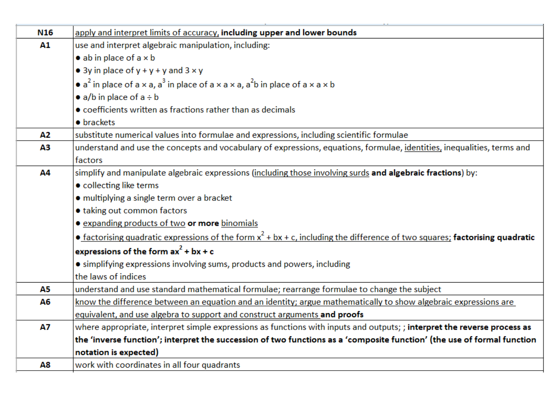| N <sub>16</sub> | apply and interpret limits of accuracy, including upper and lower bounds                                                        |
|-----------------|---------------------------------------------------------------------------------------------------------------------------------|
| A1              | use and interpret algebraic manipulation, including:                                                                            |
|                 | $\bullet$ ab in place of a $\times$ b                                                                                           |
|                 | • 3y in place of $y + y + y$ and $3 \times y$                                                                                   |
|                 | • $a^2$ in place of $a \times a$ , $a^3$ in place of $a \times a \times a$ , $a^2b$ in place of $a \times a \times b$           |
|                 | • $a/b$ in place of $a \div b$                                                                                                  |
|                 | • coefficients written as fractions rather than as decimals                                                                     |
|                 | • brackets                                                                                                                      |
| Α2              | substitute numerical values into formulae and expressions, including scientific formulae                                        |
| ΑЗ              | understand and use the concepts and vocabulary of expressions, equations, formulae, identities, inequalities, terms and         |
|                 | factors                                                                                                                         |
| Α4              | simplify and manipulate algebraic expressions (including those involving surds and algebraic fractions) by:                     |
|                 | • collecting like terms                                                                                                         |
|                 | · multiplying a single term over a bracket                                                                                      |
|                 | • taking out common factors                                                                                                     |
|                 | <b>.</b> expanding products of two or more binomials                                                                            |
|                 | • factorising quadratic expressions of the form $x^2 + bx + c$ , including the difference of two squares; factorising quadratic |
|                 | expressions of the form $ax^2 + bx + c$                                                                                         |
|                 | • simplifying expressions involving sums, products and powers, including                                                        |
|                 | the laws of indices                                                                                                             |
| А5              | understand and use standard mathematical formulae; rearrange formulae to change the subject                                     |
| Α6              | know the difference between an equation and an identity; argue mathematically to show algebraic expressions are                 |
|                 | equivalent, and use algebra to support and construct arguments and proofs                                                       |
| <b>A7</b>       | where appropriate, interpret simple expressions as functions with inputs and outputs; ; interpret the reverse process as        |
|                 | the 'inverse function'; interpret the succession of two functions as a 'composite function' (the use of formal function         |
|                 | notation is expected)                                                                                                           |
| Α8              | work with coordinates in all four quadrants                                                                                     |

 $\sim$  .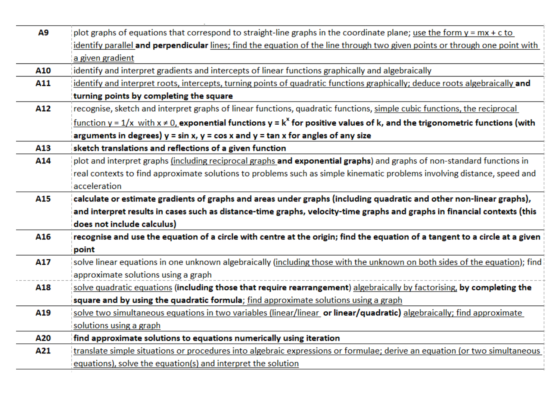| Α9  | plot graphs of equations that correspond to straight-line graphs in the coordinate plane; use the form $y = mx + c$ to                                      |  |  |  |  |
|-----|-------------------------------------------------------------------------------------------------------------------------------------------------------------|--|--|--|--|
|     | identify parallel and perpendicular lines; find the equation of the line through two given points or through one point with                                 |  |  |  |  |
|     | a given gradient                                                                                                                                            |  |  |  |  |
| A10 | identify and interpret gradients and intercepts of linear functions graphically and algebraically                                                           |  |  |  |  |
| A11 | identify and interpret roots, intercepts, turning points of quadratic functions graphically; deduce roots algebraically and                                 |  |  |  |  |
|     | turning points by completing the square                                                                                                                     |  |  |  |  |
| A12 | recognise, sketch and interpret graphs of linear functions, quadratic functions, simple cubic functions, the reciprocal                                     |  |  |  |  |
|     | <u>function y = 1/x with x <math>\neq</math> 0, exponential functions y = k<sup>x</sup> for positive values of k, and the trigonometric functions (with</u> |  |  |  |  |
|     | arguments in degrees) $y = \sin x$ , $y = \cos x$ and $y = \tan x$ for angles of any size                                                                   |  |  |  |  |
| A13 | sketch translations and reflections of a given function                                                                                                     |  |  |  |  |
| A14 | plot and interpret graphs (including reciprocal graphs and exponential graphs) and graphs of non-standard functions in                                      |  |  |  |  |
|     | real contexts to find approximate solutions to problems such as simple kinematic problems involving distance, speed and                                     |  |  |  |  |
|     | acceleration                                                                                                                                                |  |  |  |  |
| A15 | calculate or estimate gradients of graphs and areas under graphs (including quadratic and other non-linear graphs),                                         |  |  |  |  |
|     | and interpret results in cases such as distance-time graphs, velocity-time graphs and graphs in financial contexts (this                                    |  |  |  |  |
|     | does not include calculus)                                                                                                                                  |  |  |  |  |
| A16 | recognise and use the equation of a circle with centre at the origin; find the equation of a tangent to a circle at a given                                 |  |  |  |  |
|     | point                                                                                                                                                       |  |  |  |  |
| A17 | solve linear equations in one unknown algebraically (including those with the unknown on both sides of the equation); find                                  |  |  |  |  |
|     | approximate solutions using a graph                                                                                                                         |  |  |  |  |
| A18 | solve quadratic equations (including those that require rearrangement) algebraically by factorising, by completing the                                      |  |  |  |  |
|     | square and by using the quadratic formula; find approximate solutions using a graph                                                                         |  |  |  |  |
| A19 | solve two simultaneous equations in two variables (linear/linear or linear/quadratic) algebraically; find approximate                                       |  |  |  |  |
|     | solutions using a graph                                                                                                                                     |  |  |  |  |
| A20 | find approximate solutions to equations numerically using iteration                                                                                         |  |  |  |  |
| A21 | translate simple situations or procedures into algebraic expressions or formulae; derive an equation (or two simultaneous                                   |  |  |  |  |
|     | equations), solve the equation(s) and interpret the solution                                                                                                |  |  |  |  |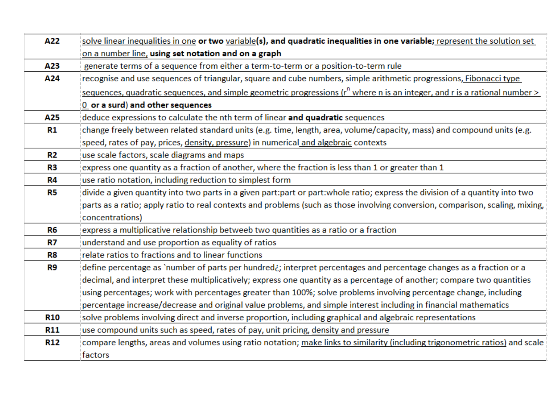| A22        | solve linear inequalities in one or two variable(s), and quadratic inequalities in one variable; represent the solution set       |
|------------|-----------------------------------------------------------------------------------------------------------------------------------|
|            | on a number line, using set notation and on a graph                                                                               |
| A23        | generate terms of a sequence from either a term-to-term or a position-to-term rule                                                |
| A24        | recognise and use sequences of triangular, square and cube numbers, simple arithmetic progressions, Fibonacci type                |
|            | sequences, quadratic sequences, and simple geometric progressions ( $r^n$ where n is an integer, and r is a rational number $\ge$ |
|            | 0 or a surd) and other sequences                                                                                                  |
| A25        | deduce expressions to calculate the nth term of linear and quadratic sequences                                                    |
| R1         | change freely between related standard units (e.g. time, length, area, volume/capacity, mass) and compound units (e.g.            |
|            | speed, rates of pay, prices, density, pressure) in numerical and algebraic contexts                                               |
| R2         | use scale factors, scale diagrams and maps                                                                                        |
| R3         | express one quantity as a fraction of another, where the fraction is less than 1 or greater than 1                                |
| R4         | use ratio notation, including reduction to simplest form                                                                          |
| R5         | divide a given quantity into two parts in a given part:part or part:whole ratio; express the division of a quantity into two      |
|            | parts as a ratio; apply ratio to real contexts and problems (such as those involving conversion, comparison, scaling, mixing,     |
|            | concentrations)                                                                                                                   |
| R6         | express a multiplicative relationship betweeb two quantities as a ratio or a fraction                                             |
| R7         | understand and use proportion as equality of ratios                                                                               |
| R8         | relate ratios to fractions and to linear functions                                                                                |
| R9         | define percentage as `number of parts per hundred¿; interpret percentages and percentage changes as a fraction or a               |
|            | decimal, and interpret these multiplicatively; express one quantity as a percentage of another; compare two quantities            |
|            | using percentages; work with percentages greater than 100%; solve problems involving percentage change, including                 |
|            | percentage increase/decrease and original value problems, and simple interest including in financial mathematics                  |
| <b>R10</b> | solve problems involving direct and inverse proportion, including graphical and algebraic representations                         |
| <b>R11</b> | use compound units such as speed, rates of pay, unit pricing, density and pressure                                                |
| <b>R12</b> | compare lengths, areas and volumes using ratio notation; make links to similarity (including trigonometric ratios) and scale      |
|            | factors                                                                                                                           |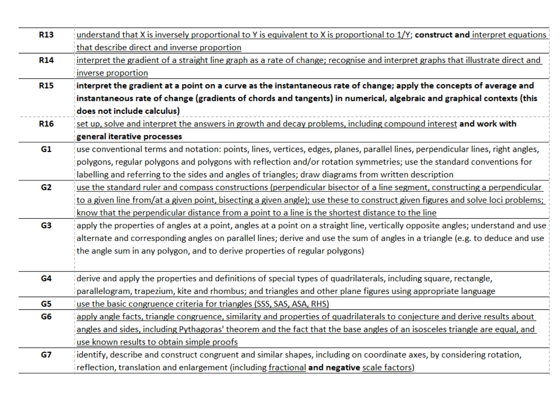| <b>R13</b> | understand that X is inversely proportional to Y is equivalent to X is proportional to 1/Y; construct and interpret equations         |  |  |
|------------|---------------------------------------------------------------------------------------------------------------------------------------|--|--|
|            | that describe direct and inverse proportion                                                                                           |  |  |
| <b>R14</b> | interpret the gradient of a straight line graph as a rate of change; recognise and interpret graphs that illustrate direct and        |  |  |
|            | inverse proportion                                                                                                                    |  |  |
| <b>R15</b> | interpret the gradient at a point on a curve as the instantaneous rate of change; apply the concepts of average and                   |  |  |
|            | instantaneous rate of change (gradients of chords and tangents) in numerical, algebraic and graphical contexts (this                  |  |  |
|            | does not include calculus)                                                                                                            |  |  |
| R16        | set up, solve and interpret the answers in growth and decay problems, including compound interest and work with                       |  |  |
|            | general iterative processes                                                                                                           |  |  |
| G1         | use conventional terms and notation: points, lines, vertices, edges, planes, parallel lines, perpendicular lines, right angles,       |  |  |
|            | polygons, regular polygons and polygons with reflection and/or rotation symmetries; use the standard conventions for                  |  |  |
|            | labelling and referring to the sides and angles of triangles; draw diagrams from written description                                  |  |  |
| G2         | use the standard ruler and compass constructions (perpendicular bisector of a line segment, constructing a perpendicular              |  |  |
|            | <u>to a given line from/at a given point, bisecting a given angle); use these to construct given figures and solve loci problems;</u> |  |  |
|            | know that the perpendicular distance from a point to a line is the shortest distance to the line                                      |  |  |
| G3         | apply the properties of angles at a point, angles at a point on a straight line, vertically opposite angles; understand and use       |  |  |
|            | alternate and corresponding angles on parallel lines; derive and use the sum of angles in a triangle (e.g. to deduce and use          |  |  |
|            | the angle sum in any polygon, and to derive properties of regular polygons)                                                           |  |  |
|            |                                                                                                                                       |  |  |
| G4         | derive and apply the properties and definitions of special types of quadrilaterals, including square, rectangle,                      |  |  |
|            | parallelogram, trapezium, kite and rhombus; and triangles and other plane figures using appropriate language                          |  |  |
| G5         | use the basic congruence criteria for triangles (SSS, SAS, ASA, RHS)                                                                  |  |  |
| G6         | apply angle facts, triangle congruence, similarity and properties of quadrilaterals to conjecture and derive results about            |  |  |
|            | angles and sides, including Pythagoras' theorem and the fact that the base angles of an isosceles triangle are equal, and             |  |  |
|            | use known results to obtain simple proofs                                                                                             |  |  |
| G7         | identify, describe and construct congruent and similar shapes, including on coordinate axes, by considering rotation,                 |  |  |
|            | reflection, translation and enlargement (including fractional and negative scale factors)                                             |  |  |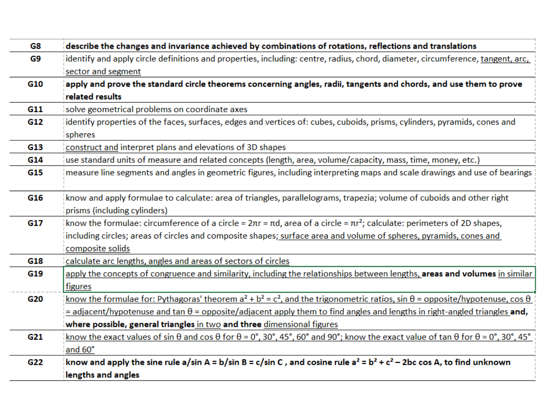| G8  | describe the changes and invariance achieved by combinations of rotations, reflections and translations                                                           |
|-----|-------------------------------------------------------------------------------------------------------------------------------------------------------------------|
| G9  | identify and apply circle definitions and properties, including: centre, radius, chord, diameter, circumference, tangent, arc,                                    |
|     | sector and segment                                                                                                                                                |
| G10 | apply and prove the standard circle theorems concerning angles, radii, tangents and chords, and use them to prove                                                 |
|     | related results                                                                                                                                                   |
| G11 | solve geometrical problems on coordinate axes                                                                                                                     |
| G12 | identify properties of the faces, surfaces, edges and vertices of: cubes, cuboids, prisms, cylinders, pyramids, cones and                                         |
|     | spheres                                                                                                                                                           |
| G13 | construct and interpret plans and elevations of 3D shapes                                                                                                         |
| G14 | use standard units of measure and related concepts (length, area, volume/capacity, mass, time, money, etc.)                                                       |
| G15 | measure line segments and angles in geometric figures, including interpreting maps and scale drawings and use of bearings                                         |
|     |                                                                                                                                                                   |
| G16 | know and apply formulae to calculate: area of triangles, parallelograms, trapezia; volume of cuboids and other right                                              |
|     | prisms (including cylinders)                                                                                                                                      |
| G17 | know the formulae: circumference of a circle = $2\pi r = \pi d$ , area of a circle = $\pi r^2$ ; calculate: perimeters of 2D shapes,                              |
|     | including circles; areas of circles and composite shapes; surface area and volume of spheres, pyramids, cones and                                                 |
|     | composite solids                                                                                                                                                  |
| G18 | calculate arc lengths, angles and areas of sectors of circles                                                                                                     |
| G19 | apply the concepts of congruence and similarity, including the relationships between lengths, areas and volumes in similar                                        |
|     | figures                                                                                                                                                           |
| G20 | know the formulae for: Pythagoras' theorem $a^2 + b^2 = c^2$ , and the trigonometric ratios, sin $\theta$ = opposite/hypotenuse, cos $\theta$                     |
|     | $=$ adjacent/hypotenuse and tan $\theta$ = opposite/adjacent apply them to find angles and lengths in right-angled triangles and,                                 |
|     | where possible, general triangles in two and three dimensional figures                                                                                            |
| G21 | know the exact values of sin $\theta$ and cos $\theta$ for $\theta$ = 0°, 30°, 45°, 60° and 90°; know the exact value of tan $\theta$ for $\theta$ = 0°, 30°, 45° |
|     | and 60°                                                                                                                                                           |
| G22 | know and apply the sine rule a/sin A = b/sin B = c/sin C, and cosine rule $a^2 = b^2 + c^2 - 2bc \cos A$ , to find unknown                                        |
|     | lengths and angles                                                                                                                                                |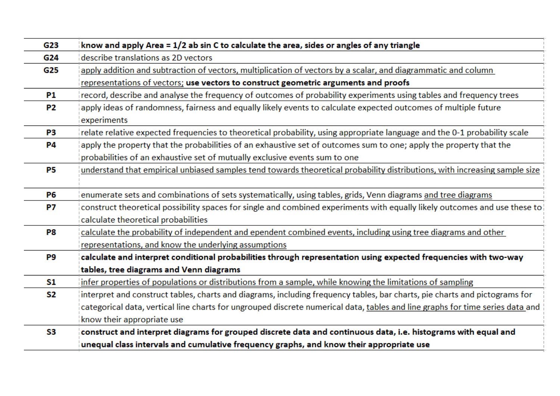| G23       | know and apply Area = $1/2$ ab sin C to calculate the area, sides or angles of any triangle                                    |
|-----------|--------------------------------------------------------------------------------------------------------------------------------|
| G24       | describe translations as 2D vectors                                                                                            |
| G25       | apply addition and subtraction of vectors, multiplication of vectors by a scalar, and diagrammatic and column                  |
|           | representations of vectors; use vectors to construct geometric arguments and proofs                                            |
| P1        | record, describe and analyse the frequency of outcomes of probability experiments using tables and frequency trees             |
| <b>P2</b> | apply ideas of randomness, fairness and equally likely events to calculate expected outcomes of multiple future<br>experiments |
| P3        | relate relative expected frequencies to theoretical probability, using appropriate language and the 0-1 probability scale      |
| <b>P4</b> | apply the property that the probabilities of an exhaustive set of outcomes sum to one; apply the property that the             |
|           | probabilities of an exhaustive set of mutually exclusive events sum to one                                                     |
| <b>P5</b> | understand that empirical unbiased samples tend towards theoretical probability distributions, with increasing sample size     |
| <b>P6</b> | enumerate sets and combinations of sets systematically, using tables, grids, Venn diagrams and tree diagrams                   |
| <b>P7</b> | construct theoretical possibility spaces for single and combined experiments with equally likely outcomes and use these to     |
|           | calculate theoretical probabilities                                                                                            |
| P8        | calculate the probability of independent and ependent combined events, including using tree diagrams and other                 |
|           | representations, and know the underlying assumptions                                                                           |
| P9        | calculate and interpret conditional probabilities through representation using expected frequencies with two-way               |
|           | tables, tree diagrams and Venn diagrams                                                                                        |
| S1        | infer properties of populations or distributions from a sample, while knowing the limitations of sampling                      |
| S2        | interpret and construct tables, charts and diagrams, including frequency tables, bar charts, pie charts and pictograms for     |
|           | categorical data, vertical line charts for ungrouped discrete numerical data, tables and line graphs for time series data and  |
|           | know their appropriate use                                                                                                     |
| S3        | construct and interpret diagrams for grouped discrete data and continuous data, i.e. histograms with equal and                 |
|           | unequal class intervals and cumulative frequency graphs, and know their appropriate use                                        |